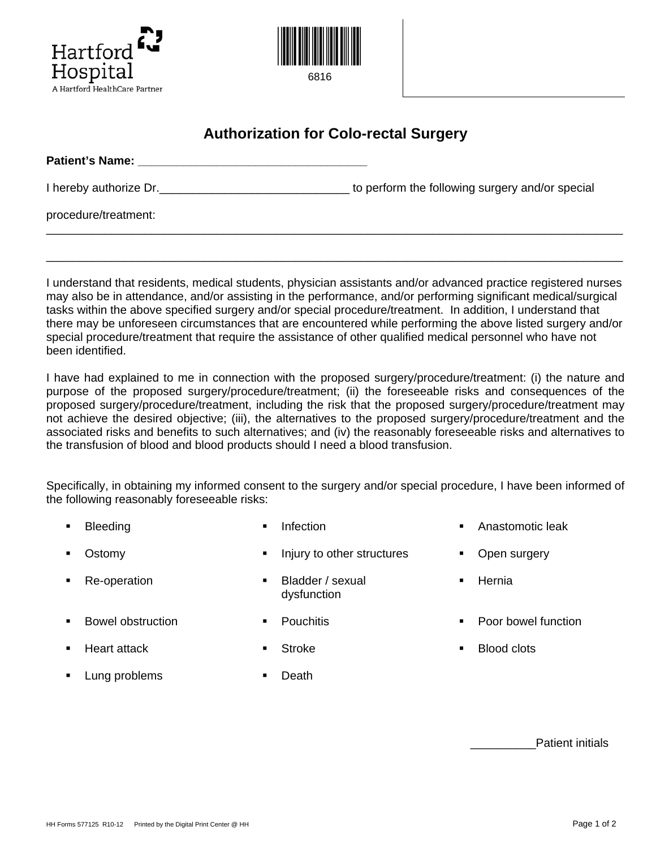



## **Authorization for Colo-rectal Surgery**

| <b>Patient's Name:</b> |                                                 |
|------------------------|-------------------------------------------------|
| I hereby authorize Dr. | to perform the following surgery and/or special |
| procedure/treatment:   |                                                 |
|                        |                                                 |

I understand that residents, medical students, physician assistants and/or advanced practice registered nurses may also be in attendance, and/or assisting in the performance, and/or performing significant medical/surgical tasks within the above specified surgery and/or special procedure/treatment. In addition, I understand that there may be unforeseen circumstances that are encountered while performing the above listed surgery and/or special procedure/treatment that require the assistance of other qualified medical personnel who have not been identified.

\_\_\_\_\_\_\_\_\_\_\_\_\_\_\_\_\_\_\_\_\_\_\_\_\_\_\_\_\_\_\_\_\_\_\_\_\_\_\_\_\_\_\_\_\_\_\_\_\_\_\_\_\_\_\_\_\_\_\_\_\_\_\_\_\_\_\_\_\_\_\_\_\_\_\_\_\_\_\_\_\_\_\_\_\_\_\_\_

I have had explained to me in connection with the proposed surgery/procedure/treatment: (i) the nature and purpose of the proposed surgery/procedure/treatment; (ii) the foreseeable risks and consequences of the proposed surgery/procedure/treatment, including the risk that the proposed surgery/procedure/treatment may not achieve the desired objective; (iii), the alternatives to the proposed surgery/procedure/treatment and the associated risks and benefits to such alternatives; and (iv) the reasonably foreseeable risks and alternatives to the transfusion of blood and blood products should I need a blood transfusion.

Specifically, in obtaining my informed consent to the surgery and/or special procedure, I have been informed of the following reasonably foreseeable risks:

- Bleeding **Infection Infection CONFING CONFINGLES Infection CONFINGLES Anastomotic leak** Ostomy **Injury to other structures Consumery Injury to other structures Consumery**
- Re-operation Bladder / sexual
	- dysfunction
- 
- 
- 
- Hernia
- **Bowel obstruction COVIDENT COVIDENT** Pouchitis **COVIDENT COVIDENT** Poor bowel function
	- Heart attack **Blood clots Blood clots Blood clots Blood clots**
- Lung problems Death
	-

Patient initials